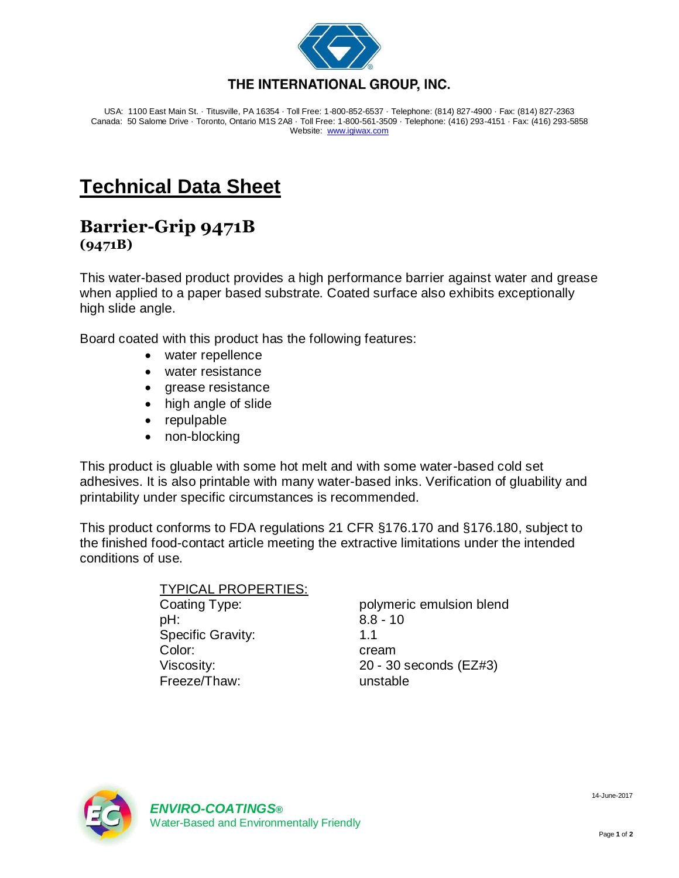

USA: 1100 East Main St. · Titusville, PA 16354 · Toll Free: 1-800-852-6537 · Telephone: (814) 827-4900 · Fax: (814) 827-2363 Canada: 50 Salome Drive · Toronto, Ontario M1S 2A8 · Toll Free: 1-800-561-3509 · Telephone: (416) 293-4151 · Fax: (416) 293-5858 Website: [www.igiwax.com](http://www.igiwax.com/)

## **Technical Data Sheet**

## **Barrier-Grip 9471B (9471B)**

This water-based product provides a high performance barrier against water and grease when applied to a paper based substrate. Coated surface also exhibits exceptionally high slide angle.

Board coated with this product has the following features:

- water repellence
- water resistance
- grease resistance
- high angle of slide
- repulpable
- non-blocking

This product is gluable with some hot melt and with some water-based cold set adhesives. It is also printable with many water-based inks. Verification of gluability and printability under specific circumstances is recommended.

This product conforms to FDA regulations 21 CFR §176.170 and §176.180, subject to the finished food-contact article meeting the extractive limitations under the intended conditions of use.

## TYPICAL PROPERTIES: Coating Type: polymeric emulsion blend pH: 8.8 - 10 Specific Gravity: 1.1 Color: cream Viscosity: 20 - 30 seconds (EZ#3)

Freeze/Thaw: unstable